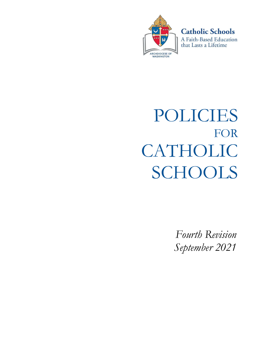

**Catholic Schools** A Faith-Based Education

that Lasts a Lifetime

POLICIES FOR CATHOLIC SCHOOLS

> Fourth Revision September 2021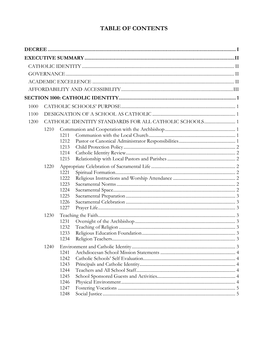# **TABLE OF CONTENTS**

| 1000 |      |              |                                                        |  |
|------|------|--------------|--------------------------------------------------------|--|
| 1100 |      |              |                                                        |  |
| 1200 |      |              | CATHOLIC IDENTITY STANDARDS FOR ALL CATHOLIC SCHOOLS 1 |  |
|      | 1210 |              |                                                        |  |
|      |      | 1211         |                                                        |  |
|      |      | 1212         |                                                        |  |
|      |      | 1213<br>1214 |                                                        |  |
|      |      | 1215         |                                                        |  |
|      | 1220 |              |                                                        |  |
|      |      | 1221         |                                                        |  |
|      |      | 1222         |                                                        |  |
|      |      | 1223         |                                                        |  |
|      |      | 1224<br>1225 |                                                        |  |
|      |      | 1226         |                                                        |  |
|      |      | 1227         |                                                        |  |
|      | 1230 |              |                                                        |  |
|      |      | 1231         |                                                        |  |
|      |      | 1232         |                                                        |  |
|      |      | 1233<br>1234 |                                                        |  |
|      |      |              |                                                        |  |
|      | 1240 | 1241         |                                                        |  |
|      |      | 1242         |                                                        |  |
|      |      | 1243         |                                                        |  |
|      |      | 1244         |                                                        |  |
|      |      | 1245         |                                                        |  |
|      |      | 1246         |                                                        |  |
|      |      | 1247<br>1248 |                                                        |  |
|      |      |              |                                                        |  |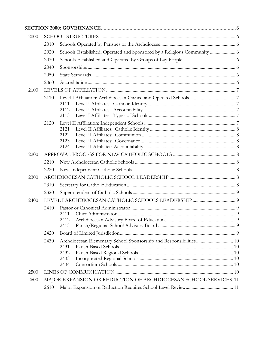| 2000 |                                                                  |                                                                         |  |
|------|------------------------------------------------------------------|-------------------------------------------------------------------------|--|
|      | 2010                                                             |                                                                         |  |
|      | 2020                                                             | Schools Established, Operated and Sponsored by a Religious Community  6 |  |
|      | 2030                                                             |                                                                         |  |
|      | 2040                                                             |                                                                         |  |
|      | 2050                                                             |                                                                         |  |
|      | 2060                                                             |                                                                         |  |
| 2100 |                                                                  |                                                                         |  |
|      | 2110                                                             | 2111<br>2112<br>2113                                                    |  |
|      | 2120                                                             | 2121<br>2122<br>2123<br>2124                                            |  |
| 2200 |                                                                  |                                                                         |  |
|      | 2210                                                             |                                                                         |  |
|      | 2220                                                             |                                                                         |  |
| 2300 |                                                                  |                                                                         |  |
|      | 2310                                                             |                                                                         |  |
|      | 2320                                                             |                                                                         |  |
| 2400 |                                                                  |                                                                         |  |
|      | 2410                                                             | 2411<br>2413                                                            |  |
|      | 2420                                                             |                                                                         |  |
|      | 2430                                                             | 2431<br>2432<br>2433<br>2434                                            |  |
| 2500 |                                                                  |                                                                         |  |
| 2600 | MAJOR EXPANSION OR REDUCTION OF ARCHDIOCESAN SCHOOL SERVICES. 11 |                                                                         |  |
|      | 2610                                                             |                                                                         |  |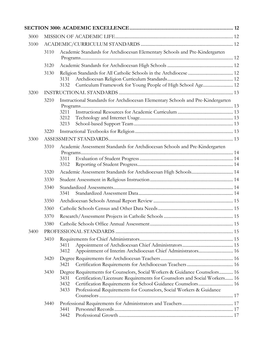| 3000 |      |                                                                                                                                                     |  |  |
|------|------|-----------------------------------------------------------------------------------------------------------------------------------------------------|--|--|
| 3100 |      |                                                                                                                                                     |  |  |
|      | 3110 | Academic Standards for Archdiocesan Elementary Schools and Pre-Kindergarten                                                                         |  |  |
|      | 3120 |                                                                                                                                                     |  |  |
|      | 3130 |                                                                                                                                                     |  |  |
|      |      | 3131                                                                                                                                                |  |  |
|      |      | Curriculum Framework for Young People of High School Age 12<br>3132                                                                                 |  |  |
| 3200 |      |                                                                                                                                                     |  |  |
|      | 3210 | Instructional Standards for Archdiocesan Elementary Schools and Pre-Kindergarten                                                                    |  |  |
|      |      | 3211                                                                                                                                                |  |  |
|      |      | 3212                                                                                                                                                |  |  |
|      |      | 3213                                                                                                                                                |  |  |
|      | 3220 |                                                                                                                                                     |  |  |
| 3300 |      |                                                                                                                                                     |  |  |
|      | 3310 | Academic Assessment Standards for Archdiocesan Schools and Pre-Kindergarten                                                                         |  |  |
|      |      |                                                                                                                                                     |  |  |
|      |      | 3311                                                                                                                                                |  |  |
|      |      | 3312                                                                                                                                                |  |  |
|      | 3320 |                                                                                                                                                     |  |  |
|      | 3330 |                                                                                                                                                     |  |  |
|      | 3340 | 3341                                                                                                                                                |  |  |
|      | 3350 |                                                                                                                                                     |  |  |
|      | 3360 |                                                                                                                                                     |  |  |
|      | 3370 |                                                                                                                                                     |  |  |
|      | 3380 |                                                                                                                                                     |  |  |
| 3400 |      |                                                                                                                                                     |  |  |
|      | 3410 |                                                                                                                                                     |  |  |
|      |      | 3411                                                                                                                                                |  |  |
|      |      | Appointment of Interim Archdiocesan Chief Administrators 16<br>3412                                                                                 |  |  |
|      | 3420 | 3421                                                                                                                                                |  |  |
|      | 3430 | Degree Requirements for Counselors, Social Workers & Guidance Counselors 16                                                                         |  |  |
|      |      | Certification/Licensure Requirements for Counselors and Social Workers 16<br>3431                                                                   |  |  |
|      |      | Certification Requirements for School Guidance Counselors 16<br>3432<br>Professional Requirements for Counselors, Social Workers & Guidance<br>3433 |  |  |
|      |      |                                                                                                                                                     |  |  |
|      | 3440 |                                                                                                                                                     |  |  |
|      |      | 3441                                                                                                                                                |  |  |
|      |      | 3442                                                                                                                                                |  |  |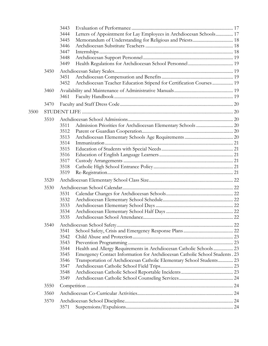|      |      | 3443<br>Letters of Appointment for Lay Employees in Archdiocesan Schools 17<br>3444<br>3445<br>3446<br>3447<br>3448<br>3449 |  |
|------|------|-----------------------------------------------------------------------------------------------------------------------------|--|
|      | 3450 | 3451<br>Archdiocesan Teacher Education Stipend for Certification Courses 19<br>3452                                         |  |
|      | 3460 | 3461                                                                                                                        |  |
|      | 3470 |                                                                                                                             |  |
| 3500 |      |                                                                                                                             |  |
|      | 3510 |                                                                                                                             |  |
|      |      | 3511                                                                                                                        |  |
|      |      | 3512<br>3513                                                                                                                |  |
|      |      | 3514                                                                                                                        |  |
|      |      | 3515                                                                                                                        |  |
|      |      | 3516                                                                                                                        |  |
|      |      | 3517                                                                                                                        |  |
|      |      | 3518                                                                                                                        |  |
|      |      | 3519                                                                                                                        |  |
|      | 3520 |                                                                                                                             |  |
|      | 3530 |                                                                                                                             |  |
|      |      | 3531                                                                                                                        |  |
|      |      | 3532                                                                                                                        |  |
|      |      | 3533                                                                                                                        |  |
|      |      | 3534<br>3535                                                                                                                |  |
|      |      |                                                                                                                             |  |
|      | 3540 | 3541                                                                                                                        |  |
|      |      | 3542                                                                                                                        |  |
|      |      | 3543                                                                                                                        |  |
|      |      | Health and Allergy Requirements in Archdiocesan Catholic Schools 23<br>3544                                                 |  |
|      |      | Emergency Contact Information for Archdiocesan Catholic School Students . 23<br>3545                                        |  |
|      |      | Transportation of Archdiocesan Catholic Elementary School Students 23<br>3546                                               |  |
|      |      | 3547                                                                                                                        |  |
|      |      | 3548                                                                                                                        |  |
|      |      | 3549                                                                                                                        |  |
|      | 3550 |                                                                                                                             |  |
|      | 3560 |                                                                                                                             |  |
|      | 3570 |                                                                                                                             |  |
|      |      | 3571                                                                                                                        |  |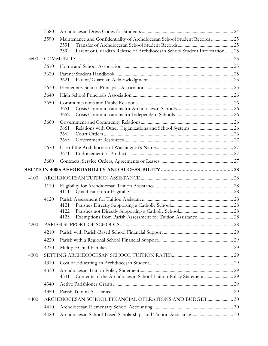|      | 3580 |                                                                                   |  |
|------|------|-----------------------------------------------------------------------------------|--|
|      | 3590 | Maintenance and Confidentiality of Archdiocesan School Student Records 25<br>3591 |  |
|      |      | Parent or Guardian Release of Archdiocesan School Student Information 25<br>3592  |  |
| 3600 |      |                                                                                   |  |
|      | 3610 |                                                                                   |  |
|      | 3620 | 3621                                                                              |  |
|      | 3630 |                                                                                   |  |
|      | 3640 |                                                                                   |  |
|      | 3650 | 3651<br>3652                                                                      |  |
|      | 3660 | 3661<br>3662<br>3663                                                              |  |
|      | 3670 | 3671                                                                              |  |
|      | 3680 |                                                                                   |  |
|      |      |                                                                                   |  |
| 4100 |      |                                                                                   |  |
|      | 4110 |                                                                                   |  |
|      |      | 4111                                                                              |  |
|      | 4120 |                                                                                   |  |
|      |      | 4121                                                                              |  |
|      |      |                                                                                   |  |
|      |      | 4122<br>4123                                                                      |  |
| 4200 |      |                                                                                   |  |
|      | 4210 |                                                                                   |  |
|      | 4220 |                                                                                   |  |
|      | 4230 |                                                                                   |  |
| 4300 |      |                                                                                   |  |
|      | 4310 |                                                                                   |  |
|      | 4330 | 4331                                                                              |  |
|      | 4340 |                                                                                   |  |
|      | 4350 |                                                                                   |  |
| 4400 |      |                                                                                   |  |
|      | 4410 |                                                                                   |  |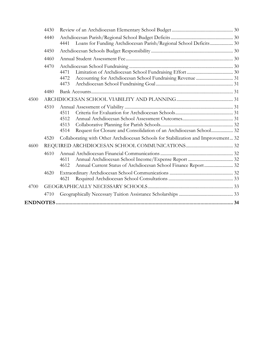|      | 4430 |                                                                                                    |  |
|------|------|----------------------------------------------------------------------------------------------------|--|
|      | 4440 | Loans for Funding Archdiocesan Parish/Regional School Deficits 30<br>4441                          |  |
|      | 4450 |                                                                                                    |  |
|      | 4460 |                                                                                                    |  |
|      | 4470 | 4471<br>4472<br>4473                                                                               |  |
|      | 4480 |                                                                                                    |  |
| 4500 |      |                                                                                                    |  |
|      | 4510 | 4511<br>4512<br>4513<br>Request for Closure and Consolidation of an Archdiocesan School 32<br>4514 |  |
|      | 4520 | Collaborating with Other Archdiocesan Schools for Stabilization and Improvement 32                 |  |
| 4600 |      |                                                                                                    |  |
|      | 4610 | 4611<br>Annual Current Status of Archdiocesan School Finance Report 32<br>4612                     |  |
|      | 4620 | 4621                                                                                               |  |
| 4700 |      |                                                                                                    |  |
|      | 4710 |                                                                                                    |  |
|      |      |                                                                                                    |  |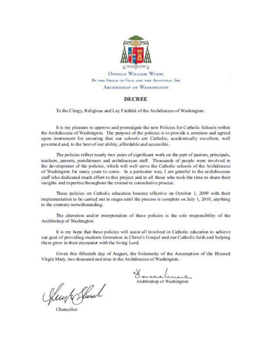

BY THE GRACE OF GOD AND THE APOSTOLIC SEE **ARCHBISHOP OF WASHINGTON** 

#### **DECREE**

To the Clergy, Religious and Lay Faithful of the Archdiocese of Washington:

It is my pleasure to approve and promulgate the new Policies for Catholic Schools within the Archdiocese of Washington. The purpose of the policies is to provide a common and agreed upon instrument for ensuring that our schools are Catholic, academically excellent, well governed and, to the best of our ability, affordable and accessible.

The policies reflect nearly two years of significant work on the part of pastors, principals, teachers, parents, parishioners and archdiocesan staff. Thousands of people were involved in the development of the policies, which will well serve the Catholic schools of the Archdiocese of Washington for many years to come. In a particular way, I am grateful to the archdiocesan staff who dedicated much effort to this project and to all those who took the time to share their insights and expertise throughout the extensive consultative process.

These policies on Catholic education become effective on October 1, 2009 with their implementation to be carried out in stages until the process is complete on July 1, 2010, anything to the contrary notwithstanding.

The alteration and/or interpretation of these policies is the sole responsibility of the Archbishop of Washington.

It is my hope that these policies will assist all involved in Catholic education to achieve our goal of providing students formation in Christ's Gospel and our Catholic faith and helping them grow in their encounter with the living Lord.

Given this fifteenth day of August, the Solemnity of the Assumption of the Blessed Virgin Mary, two thousand and nine in the Archdiocese of Washington.

Archbishop of Washington

flugh Shoul

Chancellor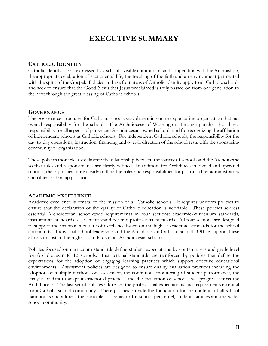# EXECUTIVE SUMMARY

# CATHOLIC IDENTITY

Catholic identity is best expressed by a school's visible communion and cooperation with the Archbishop, the appropriate celebration of sacramental life, the teaching of the faith and an environment permeated with the spirit of the Gospel. Policies in these four areas of Catholic identity apply to all Catholic schools and seek to ensure that the Good News that Jesus proclaimed is truly passed on from one generation to the next through the great blessing of Catholic schools.

# GOVERNANCE

The governance structures for Catholic schools vary depending on the sponsoring organization that has overall responsibility for the school. The Archdiocese of Washington, through parishes, has direct responsibility for all aspects of parish and Archdiocesan-owned schools and for recognizing the affiliation of independent schools as Catholic schools. For independent Catholic schools, the responsibility for the day-to-day operations, instruction, financing and overall direction of the school rests with the sponsoring community or organization.

These policies more clearly delineate the relationship between the variety of schools and the Archdiocese so that roles and responsibilities are clearly defined. In addition, for Archdiocesan owned and operated schools, these policies more clearly outline the roles and responsibilities for pastors, chief administrators and other leadership positions.

# ACADEMIC EXCELLENCE

Academic excellence is central to the mission of all Catholic schools. It requires uniform policies to ensure that the declaration of the quality of Catholic education is verifiable. These policies address essential Archdiocesan school-wide requirements in four sections: academic/curriculum standards, instructional standards, assessment standards and professional standards. All four sections are designed to support and maintain a culture of excellence based on the highest academic standards for the school community. Individual school leadership and the Archdiocesan Catholic Schools Office support these efforts to sustain the highest standards in all Archdiocesan schools.

Policies focused on curriculum standards define student expectations by content areas and grade level for Archdiocesan K–12 schools. Instructional standards are reinforced by policies that define the expectations for the adoption of engaging learning practices which support effective educational environments. Assessment policies are designed to ensure quality evaluation practices including the adoption of multiple methods of assessment, the continuous monitoring of student performance, the analysis of data to adapt instructional practices and the evaluation of school level progress across the Archdiocese. The last set of policies addresses the professional expectations and requirements essential for a Catholic school community. These policies provide the foundation for the contents of all school handbooks and address the principles of behavior for school personnel, student, families and the wider school community.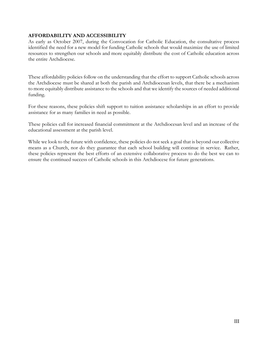# AFFORDABILITY AND ACCESSIBILITY

As early as October 2007, during the Convocation for Catholic Education, the consultative process identified the need for a new model for funding Catholic schools that would maximize the use of limited resources to strengthen our schools and more equitably distribute the cost of Catholic education across the entire Archdiocese.

These affordability policies follow on the understanding that the effort to support Catholic schools across the Archdiocese must be shared at both the parish and Archdiocesan levels, that there be a mechanism to more equitably distribute assistance to the schools and that we identify the sources of needed additional funding.

For these reasons, these policies shift support to tuition assistance scholarships in an effort to provide assistance for as many families in need as possible.

These policies call for increased financial commitment at the Archdiocesan level and an increase of the educational assessment at the parish level.

While we look to the future with confidence, these policies do not seek a goal that is beyond our collective means as a Church, nor do they guarantee that each school building will continue in service. Rather, these policies represent the best efforts of an extensive collaborative process to do the best we can to ensure the continued success of Catholic schools in this Archdiocese for future generations.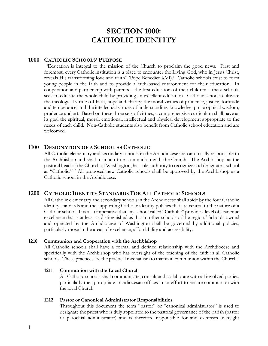# SECTION 1000: CATHOLIC IDENTITY

# 1000 CATHOLIC SCHOOLS' PURPOSE

 "Education is integral to the mission of the Church to proclaim the good news. First and foremost, every Catholic institution is a place to encounter the Living God, who in Jesus Christ, reveals His transforming love and truth" (Pope Benedict XVI).<sup>1</sup> Catholic schools exist to form young people in the faith and to provide a faith-based environment for their education. In cooperation and partnership with parents – the first educators of their children – these schools seek to educate the whole child by providing an excellent education. Catholic schools cultivate the theological virtues of faith, hope and charity; the moral virtues of prudence, justice, fortitude and temperance; and the intellectual virtues of understanding, knowledge, philosophical wisdom, prudence and art. Based on these three sets of virtues, a comprehensive curriculum shall have as its goal the spiritual, moral, emotional, intellectual and physical development appropriate to the needs of each child. Non-Catholic students also benefit from Catholic school education and are welcomed.

# 1100 DESIGNATION OF A SCHOOL AS CATHOLIC

All Catholic elementary and secondary schools in the Archdiocese are canonically responsible to the Archbishop and shall maintain true communion with the Church. The Archbishop, as the pastoral head of the Church of Washington, has sole authority to recognize and designate a school as "Catholic." <sup>2</sup> All proposed new Catholic schools shall be approved by the Archbishop as a Catholic school in the Archdiocese.

# 1200 CATHOLIC IDENTITY STANDARDS FOR ALL CATHOLIC SCHOOLS

All Catholic elementary and secondary schools in the Archdiocese shall abide by the four Catholic identity standards and the supporting Catholic identity policies that are central to the nature of a Catholic school. It is also imperative that any school called "Catholic" provide a level of academic excellence that is at least as distinguished as that in other schools of the region.<sup>3</sup> Schools owned and operated by the Archdiocese of Washington shall be governed by additional policies, particularly those in the areas of excellence, affordability and accessibility.

#### 1210 Communion and Cooperation with the Archbishop

All Catholic schools shall have a formal and defined relationship with the Archdiocese and specifically with the Archbishop who has oversight of the teaching of the faith in all Catholic schools. These practices are the practical mechanism to maintain communion within the Church.<sup>4</sup>

#### 1211 Communion with the Local Church

All Catholic schools shall communicate, consult and collaborate with all involved parties, particularly the appropriate archdiocesan offices in an effort to ensure communion with the local Church.

## 1212 Pastor or Canonical Administrator Responsibilities

Throughout this document the term "pastor" or "canonical administrator" is used to designate the priest who is duly appointed to the pastoral governance of the parish (pastor or parochial administrator) and is therefore responsible for and exercises oversight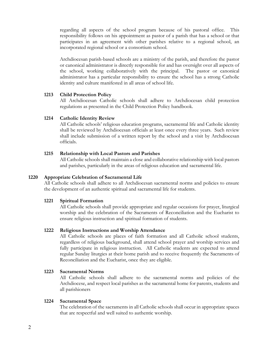regarding all aspects of the school program because of his pastoral office. This responsibility follows on his appointment as pastor of a parish that has a school or that participates in an agreement with other parishes relative to a regional school, an incorporated regional school or a consortium school.

Archdiocesan parish-based schools are a ministry of the parish, and therefore the pastor or canonical administrator is directly responsible for and has oversight over all aspects of the school, working collaboratively with the principal. The pastor or canonical administrator has a particular responsibility to ensure the school has a strong Catholic identity and culture manifested in all areas of school life.

#### 1213 Child Protection Policy

All Archdiocesan Catholic schools shall adhere to Archdiocesan child protection regulations as presented in the Child Protection Policy handbook.

## 1214 Catholic Identity Review

All Catholic schools' religious education programs, sacramental life and Catholic identity shall be reviewed by Archdiocesan officials at least once every three years. Such review shall include submission of a written report by the school and a visit by Archdiocesan officials.

## 1215 Relationship with Local Pastors and Parishes

All Catholic schools shall maintain a close and collaborative relationship with local pastors and parishes, particularly in the areas of religious education and sacramental life.

#### 1220 Appropriate Celebration of Sacramental Life

All Catholic schools shall adhere to all Archdiocesan sacramental norms and policies to ensure the development of an authentic spiritual and sacramental life for students.

#### 1221 Spiritual Formation

All Catholic schools shall provide appropriate and regular occasions for prayer, liturgical worship and the celebration of the Sacraments of Reconciliation and the Eucharist to ensure religious instruction and spiritual formation of students.

#### 1222 Religious Instructions and Worship Attendance

All Catholic schools are places of faith formation and all Catholic school students, regardless of religious background, shall attend school prayer and worship services and fully participate in religious instruction. All Catholic students are expected to attend regular Sunday liturgies at their home parish and to receive frequently the Sacraments of Reconciliation and the Eucharist, once they are eligible.

#### 1223 Sacramental Norms

All Catholic schools shall adhere to the sacramental norms and policies of the Archdiocese, and respect local parishes as the sacramental home for parents, students and all parishioners

#### 1224 Sacramental Space

The celebration of the sacraments in all Catholic schools shall occur in appropriate spaces that are respectful and well suited to authentic worship.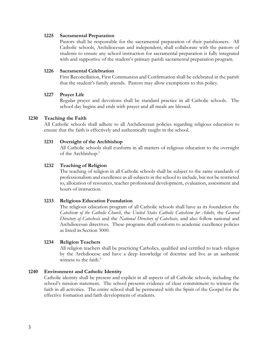#### 1225 Sacramental Preparation

Pastors shall be responsible for the sacramental preparation of their parishioners. All Catholic schools, Archdiocesan and independent, shall collaborate with the pastors of students to ensure any school instruction for sacramental preparation is fully integrated with and supportive of the student's primary parish sacramental preparation program.

#### 1226 Sacramental Celebration

First Reconciliation, First Communion and Confirmation shall be celebrated in the parish that the student's family attends. Pastors may allow exemptions to this policy.

## 1227 Prayer Life

Regular prayer and devotions shall be standard practice in all Catholic schools. The school day begins and ends with prayer and all meals are blessed.

## 1230 Teaching the Faith

All Catholic schools shall adhere to all Archdiocesan policies regarding religious education to ensure that the faith is effectively and authentically taught in the school.

## 1231 Oversight of the Archbishop

All Catholic schools shall conform in all matters of religious education to the oversight of the Archbishop.<sup>5</sup>

## 1232 Teaching of Religion

The teaching of religion in all Catholic schools shall be subject to the same standards of professionalism and excellence as all subjects in the school to include, but not be restricted to, allocation of resources, teacher professional development, evaluation, assessment and hours of instruction.

#### 1233 Religious Education Foundation

The religious education program of all Catholic schools shall have as its foundation the Catechism of the Catholic Church, the United States Catholic Catechism for Adults, the General Directory of Catechesis and the National Directory of Catechesis, and also follow national and Archdiocesan directives. These programs shall conform to academic excellence policies as listed in Section 3000.

#### 1234 Religion Teachers

All religion teachers shall be practicing Catholics, qualified and certified to teach religion by the Archdiocese and have a deep knowledge of doctrine and live as an authentic witness to the faith.<sup>6</sup>

## 1240 Environment and Catholic Identity

Catholic identity shall be present and explicit in all aspects of all Catholic schools, including the school's mission statement. The school presents evidence of clear commitment to witness the faith in all activities. The entire school shall be permeated with the Spirit of the Gospel for the effective formation and faith development of students.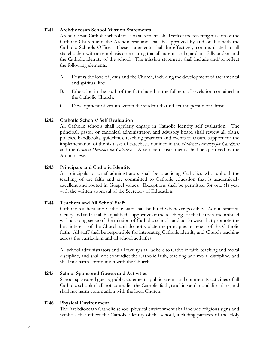## 1241 Archdiocesan School Mission Statements

Archdiocesan Catholic school mission statements shall reflect the teaching mission of the Catholic Church and the Archdiocese and shall be approved by and on file with the Catholic Schools Office. These statements shall be effectively communicated to all stakeholders with an emphasis on ensuring that all parents and guardians fully understand the Catholic identity of the school. The mission statement shall include and/or reflect the following elements:

- A. Fosters the love of Jesus and the Church, including the development of sacramental and spiritual life;
- B. Education in the truth of the faith based in the fullness of revelation contained in the Catholic Church;
- C. Development of virtues within the student that reflect the person of Christ.

# 1242 Catholic Schools' Self Evaluation

All Catholic schools shall regularly engage in Catholic identity self evaluation. The principal, pastor or canonical administrator, and advisory board shall review all plans, policies, handbooks, guidelines, teaching practices and events to ensure support for the implementation of the six tasks of catechesis outlined in the National Directory for Catechesis and the *General Directory for Catechesis*. Assessment instruments shall be approved by the Archdiocese.

## 1243 Principals and Catholic Identity

All principals or chief administrators shall be practicing Catholics who uphold the teaching of the faith and are committed to Catholic education that is academically excellent and rooted in Gospel values. Exceptions shall be permitted for one (1) year with the written approval of the Secretary of Education.

#### 1244 Teachers and All School Staff

Catholic teachers and Catholic staff shall be hired whenever possible. Administrators, faculty and staff shall be qualified, supportive of the teachings of the Church and imbued with a strong sense of the mission of Catholic schools and act in ways that promote the best interests of the Church and do not violate the principles or tenets of the Catholic faith. All staff shall be responsible for integrating Catholic identity and Church teaching across the curriculum and all school activities.

All school administrators and all faculty shall adhere to Catholic faith, teaching and moral discipline, and shall not contradict the Catholic faith, teaching and moral discipline, and shall not harm communion with the Church.

#### 1245 School Sponsored Guests and Activities

School sponsored guests, public statements, public events and community activities of all Catholic schools shall not contradict the Catholic faith, teaching and moral discipline, and shall not harm communion with the local Church.

#### 1246 Physical Environment

The Archdiocesan Catholic school physical environment shall include religious signs and symbols that reflect the Catholic identity of the school, including pictures of the Holy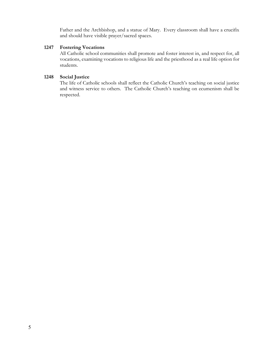Father and the Archbishop, and a statue of Mary. Every classroom shall have a crucifix and should have visible prayer/sacred spaces.

#### 1247 Fostering Vocations

All Catholic school communities shall promote and foster interest in, and respect for, all vocations, examining vocations to religious life and the priesthood as a real life option for students.

# 1248 Social Justice

The life of Catholic schools shall reflect the Catholic Church's teaching on social justice and witness service to others. The Catholic Church's teaching on ecumenism shall be respected.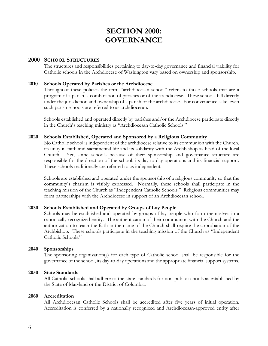# SECTION 2000: GOVERNANCE

# 2000 SCHOOL STRUCTURES

The structures and responsibilities pertaining to day-to-day governance and financial viability for Catholic schools in the Archdiocese of Washington vary based on ownership and sponsorship.

# 2010 Schools Operated by Parishes or the Archdiocese

Throughout these policies the term "archdiocesan school" refers to those schools that are a program of a parish, a combination of parishes or of the archdiocese. These schools fall directly under the jurisdiction and ownership of a parish or the archdiocese. For convenience sake, even such parish schools are referred to as archdiocesan.

Schools established and operated directly by parishes and/or the Archdiocese participate directly in the Church's teaching ministry as "Archdiocesan Catholic Schools."

## 2020 Schools Established, Operated and Sponsored by a Religious Community

No Catholic school is independent of the archdiocese relative to its communion with the Church, its unity in faith and sacramental life and its solidarity with the Archbishop as head of the local Church. Yet, some schools because of their sponsorship and governance structure are responsible for the direction of the school, its day-to-day operations and its financial support. These schools traditionally are referred to as independent.

Schools are established and operated under the sponsorship of a religious community so that the community's charism is visibly expressed. Normally, these schools shall participate in the teaching mission of the Church as "Independent Catholic Schools." Religious communities may form partnerships with the Archdiocese in support of an Archdiocesan school.

# 2030 Schools Established and Operated by Groups of Lay People

Schools may be established and operated by groups of lay people who form themselves in a canonically recognized entity. The authentication of their communion with the Church and the authorization to teach the faith in the name of the Church shall require the approbation of the Archbishop. These schools participate in the teaching mission of the Church as "Independent Catholic Schools."

#### 2040 Sponsorships

The sponsoring organization(s) for each type of Catholic school shall be responsible for the governance of the school, its day-to-day operations and the appropriate financial support systems.

#### 2050 State Standards

All Catholic schools shall adhere to the state standards for non-public schools as established by the State of Maryland or the District of Columbia.

#### 2060 Accreditation

All Archdiocesan Catholic Schools shall be accredited after five years of initial operation. Accreditation is conferred by a nationally recognized and Archdiocesan-approved entity after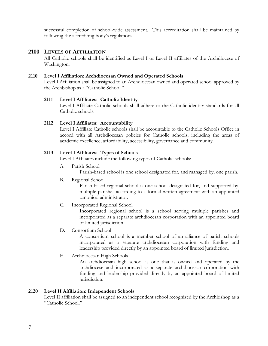successful completion of school-wide assessment. This accreditation shall be maintained by following the accrediting body's regulations.

# 2100 LEVELS OF AFFILIATION

All Catholic schools shall be identified as Level I or Level II affiliates of the Archdiocese of Washington.

# 2110 Level I Affiliation: Archdiocesan Owned and Operated Schools

Level I Affiliation shall be assigned to an Archdiocesan owned and operated school approved by the Archbishop as a "Catholic School."

# 2111 Level I Affiliates: Catholic Identity

Level I Affiliate Catholic schools shall adhere to the Catholic identity standards for all Catholic schools.

## 2112 Level I Affiliates: Accountability

Level I Affiliate Catholic schools shall be accountable to the Catholic Schools Office in accord with all Archdiocesan policies for Catholic schools, including the areas of academic excellence, affordability, accessibility, governance and community.

# 2113 Level I Affiliates: Types of Schools

Level I Affiliates include the following types of Catholic schools:

A. Parish School

Parish-based school is one school designated for, and managed by, one parish.

B. Regional School

Parish-based regional school is one school designated for, and supported by, multiple parishes according to a formal written agreement with an appointed canonical administrator.

C. Incorporated Regional School

Incorporated regional school is a school serving multiple parishes and incorporated as a separate archdiocesan corporation with an appointed board of limited jurisdiction.

D. Consortium School

A consortium school is a member school of an alliance of parish schools incorporated as a separate archdiocesan corporation with funding and leadership provided directly by an appointed board of limited jurisdiction.

E. Archdiocesan High Schools

An archdiocesan high school is one that is owned and operated by the archdiocese and incorporated as a separate archdiocesan corporation with funding and leadership provided directly by an appointed board of limited jurisdiction.

#### 2120 Level II Affiliation: Independent Schools

Level II affiliation shall be assigned to an independent school recognized by the Archbishop as a "Catholic School."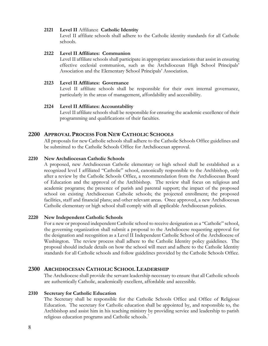## 2121 Level II Affiliates: Catholic Identity

Level II affiliate schools shall adhere to the Catholic identity standards for all Catholic schools.

## 2122 Level II Affiliates: Communion

Level II affiliate schools shall participate in appropriate associations that assist in ensuring effective ecclesial communion, such as the Archdiocesan High School Principals' Association and the Elementary School Principals' Association.

## 2123 Level II Affiliates: Governance

Level II affiliate schools shall be responsible for their own internal governance, particularly in the areas of management, affordability and accessibility.

## 2124 Level II Affiliates: Accountability

Level II affiliate schools shall be responsible for ensuring the academic excellence of their programming and qualifications of their faculties.

# 2200 APPROVAL PROCESS FOR NEW CATHOLIC SCHOOLS

All proposals for new Catholic schools shall adhere to the Catholic Schools Office guidelines and be submitted to the Catholic Schools Office for Archdiocesan approval.

## 2210 New Archdiocesan Catholic Schools

A proposed, new Archdiocesan Catholic elementary or high school shall be established as a recognized level I affiliated "Catholic" school, canonically responsible to the Archbishop, only after a review by the Catholic Schools Office, a recommendation from the Archdiocesan Board of Education and the approval of the Archbishop. The review shall focus on religious and academic programs; the presence of parish and parental support; the impact of the proposed school on existing Archdiocesan Catholic schools; the projected enrollment; the proposed facilities, staff and financial plans; and other relevant areas. Once approved, a new Archdiocesan Catholic elementary or high school shall comply with all applicable Archdiocesan policies.

#### 2220 New Independent Catholic Schools

For a new or proposed independent Catholic school to receive designation as a "Catholic" school, the governing organization shall submit a proposal to the Archdiocese requesting approval for the designation and recognition as a Level II Independent Catholic School of the Archdiocese of Washington. The review process shall adhere to the Catholic Identity policy guidelines. The proposal should include details on how the school will meet and adhere to the Catholic Identity standards for all Catholic schools and follow guidelines provided by the Catholic Schools Office.

# 2300 ARCHDIOCESAN CATHOLIC SCHOOL LEADERSHIP

The Archdiocese shall provide the servant leadership necessary to ensure that all Catholic schools are authentically Catholic, academically excellent, affordable and accessible.

#### 2310 Secretary for Catholic Education

The Secretary shall be responsible for the Catholic Schools Office and Office of Religious Education. The secretary for Catholic education shall be appointed by, and responsible to, the Archbishop and assist him in his teaching ministry by providing service and leadership to parish religious education programs and Catholic schools.<sup>7</sup>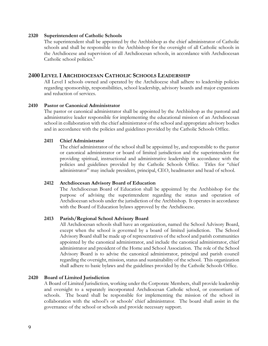#### 2320 Superintendent of Catholic Schools

The superintendent shall be appointed by the Archbishop as the chief administrator of Catholic schools and shall be responsible to the Archbishop for the oversight of all Catholic schools in the Archdiocese and supervision of all Archdiocesan schools, in accordance with Archdiocesan Catholic school policies.<sup>8</sup>

# 2400 LEVEL I ARCHDIOCESAN CATHOLIC SCHOOLS LEADERSHIP

All Level I schools owned and operated by the Archdiocese shall adhere to leadership policies regarding sponsorship, responsibilities, school leadership, advisory boards and major expansions and reduction of services.

## 2410 Pastor or Canonical Administrator

The pastor or canonical administrator shall be appointed by the Archbishop as the pastoral and administrative leader responsible for implementing the educational mission of an Archdiocesan school in collaboration with the chief administrator of the school and appropriate advisory bodies and in accordance with the policies and guidelines provided by the Catholic Schools Office.

#### 2411 Chief Administrator

The chief administrator of the school shall be appointed by, and responsible to the pastor or canonical administrator or board of limited jurisdiction and the superintendent for providing spiritual, instructional and administrative leadership in accordance with the policies and guidelines provided by the Catholic Schools Office. Titles for "chief administrator" may include president, principal, CEO, headmaster and head of school.

#### 2412 Archdiocesan Advisory Board of Education

The Archdiocesan Board of Education shall be appointed by the Archbishop for the purpose of advising the superintendent regarding the status and operation of Archdiocesan schools under the jurisdiction of the Archbishop. It operates in accordance with the Board of Education bylaws approved by the Archdiocese.

# 2413 Parish/Regional School Advisory Board

All Archdiocesan schools shall have an organization, named the School Advisory Board, except when the school is governed by a board of limited jurisdiction. The School Advisory Board shall be made up of representatives of the school and parish communities appointed by the canonical administrator, and include the canonical administrator, chief administrator and president of the Home and School Association. The role of the School Advisory Board is to advise the canonical administrator, principal and parish council regarding the oversight, mission, status and sustainability of the school. This organization shall adhere to basic bylaws and the guidelines provided by the Catholic Schools Office.

#### 2420 Board of Limited Jurisdiction

A Board of Limited Jurisdiction, working under the Corporate Members, shall provide leadership and oversight to a separately incorporated Archdiocesan Catholic school, or consortium of schools. The board shall be responsible for implementing the mission of the school in collaboration with the school's or schools' chief administrator. The board shall assist in the governance of the school or schools and provide necessary support.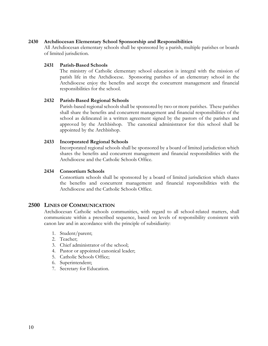## 2430 Archdiocesan Elementary School Sponsorship and Responsibilities

All Archdiocesan elementary schools shall be sponsored by a parish, multiple parishes or boards of limited jurisdiction.

#### 2431 Parish-Based Schools

The ministry of Catholic elementary school education is integral with the mission of parish life in the Archdiocese. Sponsoring parishes of an elementary school in the Archdiocese enjoy the benefits and accept the concurrent management and financial responsibilities for the school.

## 2432 Parish-Based Regional Schools

Parish-based regional schools shall be sponsored by two or more parishes. These parishes shall share the benefits and concurrent management and financial responsibilities of the school as delineated in a written agreement signed by the pastors of the parishes and approved by the Archbishop. The canonical administrator for this school shall be appointed by the Archbishop.

## 2433 Incorporated Regional Schools

Incorporated regional schools shall be sponsored by a board of limited jurisdiction which shares the benefits and concurrent management and financial responsibilities with the Archdiocese and the Catholic Schools Office.

#### 2434 Consortium Schools

Consortium schools shall be sponsored by a board of limited jurisdiction which shares the benefits and concurrent management and financial responsibilities with the Archdiocese and the Catholic Schools Office.

# 2500 LINES OF COMMUNICATION

Archdiocesan Catholic schools communities, with regard to all school-related matters, shall communicate within a prescribed sequence, based on levels of responsibility consistent with canon law and in accordance with the principle of subsidiarity:

- 1. Student/parent;
- 2. Teacher;
- 3. Chief administrator of the school;
- 4. Pastor or appointed canonical leader;
- 5. Catholic Schools Office;
- 6. Superintendent;
- 7. Secretary for Education.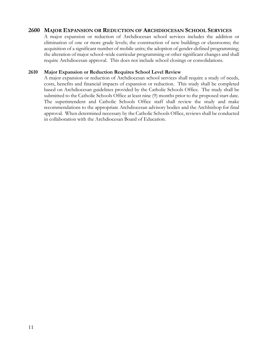# 2600 MAJOR EXPANSION OR REDUCTION OF ARCHDIOCESAN SCHOOL SERVICES

A major expansion or reduction of Archdiocesan school services includes the addition or elimination of one or more grade levels; the construction of new buildings or classrooms; the acquisition of a significant number of mobile units; the adoption of gender-defined programming; the alteration of major school–wide curricular programming or other significant changes and shall require Archdiocesan approval. This does not include school closings or consolidations.

# 2610 Major Expansion or Reduction Requires School Level Review

A major expansion or reduction of Archdiocesan school services shall require a study of needs, costs, benefits and financial impacts of expansion or reduction. This study shall be completed based on Archdiocesan guidelines provided by the Catholic Schools Office. The study shall be submitted to the Catholic Schools Office at least nine (9) months prior to the proposed start date. The superintendent and Catholic Schools Office staff shall review the study and make recommendations to the appropriate Archdiocesan advisory bodies and the Archbishop for final approval. When determined necessary by the Catholic Schools Office, reviews shall be conducted in collaboration with the Archdiocesan Board of Education.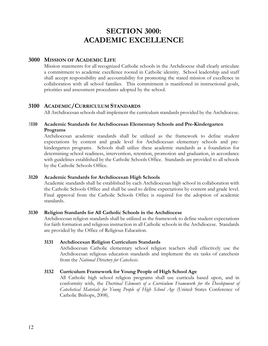# SECTION 3000: ACADEMIC EXCELLENCE

# 3000 MISSION OF ACADEMIC LIFE

Mission statements for all recognized Catholic schools in the Archdiocese shall clearly articulate a commitment to academic excellence rooted in Catholic identity. School leadership and staff shall accept responsibility and accountability for promoting the stated mission of excellence in collaboration with all school families. This commitment is manifested in instructional goals, priorities and assessment procedures adopted by the school.

# 3100 ACADEMIC/CURRICULUM STANDARDS

All Archdiocesan schools shall implement the curriculum standards provided by the Archdiocese.

# 3110 Academic Standards for Archdiocesan Elementary Schools and Pre-Kindergarten Programs

Archdiocesan academic standards shall be utilized as the framework to define student expectations by content and grade level for Archdiocesan elementary schools and prekindergarten programs. Schools shall utilize these academic standards as a foundation for determining school readiness, intervention, retention, promotion and graduation, in accordance with guidelines established by the Catholic Schools Office. Standards are provided to all schools by the Catholic Schools Office.

# 3120 Academic Standards for Archdiocesan High Schools

Academic standards shall be established by each Archdiocesan high school in collaboration with the Catholic Schools Office and shall be used to define expectations by content and grade level. Final approval from the Catholic Schools Office is required for the adoption of academic standards.

# 3130 Religion Standards for All Catholic Schools in the Archdiocese

Archdiocesan religion standards shall be utilized as the framework to define student expectations for faith formation and religious instruction in all Catholic schools in the Archdiocese. Standards are provided by the Office of Religious Education.

# 3131 Archdiocesan Religion Curriculum Standards

Archdiocesan Catholic elementary school religion teachers shall effectively use the Archdiocesan religious education standards and implement the six tasks of catechesis from the National Directory for Catechesis.

# 3132 Curriculum Framework for Young People of High School Age

All Catholic high school religion programs shall use curricula based upon, and in conformity with, the Doctrinal Elements of a Curriculum Framework for the Development of Catechetical Materials for Young People of High School Age (United States Conference of Catholic Bishops, 2008).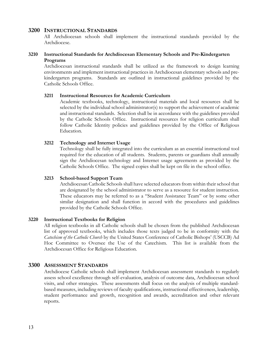# 3200 INSTRUCTIONAL STANDARDS

All Archdiocesan schools shall implement the instructional standards provided by the Archdiocese.

# 3210 Instructional Standards for Archdiocesan Elementary Schools and Pre-Kindergarten Programs

Archdiocesan instructional standards shall be utilized as the framework to design learning environments and implement instructional practices in Archdiocesan elementary schools and prekindergarten programs. Standards are outlined in instructional guidelines provided by the Catholic Schools Office.

## 3211 Instructional Resources for Academic Curriculum

Academic textbooks, technology, instructional materials and local resources shall be selected by the individual school administrator(s) to support the achievement of academic and instructional standards. Selection shall be in accordance with the guidelines provided by the Catholic Schools Office. Instructional resources for religion curriculum shall follow Catholic Identity policies and guidelines provided by the Office of Religious Education.

# 3212 Technology and Internet Usage

Technology shall be fully integrated into the curriculum as an essential instructional tool required for the education of all students. Students, parents or guardians shall annually sign the Archdiocesan technology and Internet usage agreements as provided by the Catholic Schools Office. The signed copies shall be kept on file in the school office.

# 3213 School-based Support Team

Archdiocesan Catholic Schools shall have selected educators from within their school that are designated by the school administrator to serve as a resource for student instruction. These educators may be referred to as a "Student Assistance Team" or by some other similar designation and shall function in accord with the procedures and guidelines provided by the Catholic Schools Office.

#### 3220 Instructional Textbooks for Religion

All religion textbooks in all Catholic schools shall be chosen from the published Archdiocesan list of approved textbooks, which includes those texts judged to be in conformity with the Catechism of the Catholic Church by the United States Conference of Catholic Bishops' (USCCB) Ad Hoc Committee to Oversee the Use of the Catechism. This list is available from the Archdiocesan Office for Religious Education.

# 3300 ASSESSMENT STANDARDS

Archdiocese Catholic schools shall implement Archdiocesan assessment standards to regularly assess school excellence through self-evaluation, analysis of outcome data, Archdiocesan school visits, and other strategies. These assessments shall focus on the analysis of multiple standardbased measures, including reviews of faculty qualifications, instructional effectiveness, leadership, student performance and growth, recognition and awards, accreditation and other relevant reports.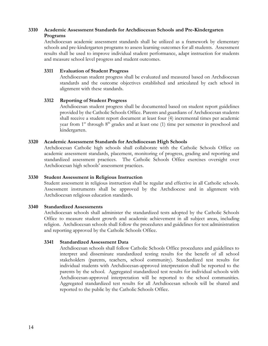# 3310 Academic Assessment Standards for Archdiocesan Schools and Pre-Kindergarten Programs

Archdiocesan academic assessment standards shall be utilized as a framework by elementary schools and pre-kindergarten programs to assess learning outcomes for all students. Assessment results shall be used to improve individual student performance, adapt instruction for students and measure school level progress and student outcomes.

# 3311 Evaluation of Student Progress

Archdiocesan student progress shall be evaluated and measured based on Archdiocesan standards and the outcome objectives established and articulated by each school in alignment with these standards.

## 3312 Reporting of Student Progress

Archdiocesan student progress shall be documented based on student report guidelines provided by the Catholic Schools Office. Parents and guardians of Archdiocesan students shall receive a student report document at least four (4) incremental times per academic year from  $1<sup>st</sup>$  through  $8<sup>th</sup>$  grades and at least one (1) time per semester in preschool and kindergarten.

## 3320 Academic Assessment Standards for Archdiocesan High Schools

Archdiocesan Catholic high schools shall collaborate with the Catholic Schools Office on academic assessment standards, placement, monitoring of progress, grading and reporting and standardized assessment practices. The Catholic Schools Office exercises oversight over Archdiocesan high schools' assessment practices.

#### 3330 Student Assessment in Religious Instruction

Student assessment in religious instruction shall be regular and effective in all Catholic schools. Assessment instruments shall be approved by the Archdiocese and in alignment with Archdiocesan religious education standards.

#### 3340 Standardized Assessments

Archdiocesan schools shall administer the standardized tests adopted by the Catholic Schools Office to measure student growth and academic achievement in all subject areas, including religion. Archdiocesan schools shall follow the procedures and guidelines for test administration and reporting approved by the Catholic Schools Office.

#### 3341 Standardized Assessment Data

Archdiocesan schools shall follow Catholic Schools Office procedures and guidelines to interpret and disseminate standardized testing results for the benefit of all school stakeholders (parents, teachers, school community). Standardized test results for individual students with Archdiocesan-approved interpretation shall be reported to the parents by the school. Aggregated standardized test results for individual schools with Archdiocesan-approved interpretation will be reported to the school communities. Aggregated standardized test results for all Archdiocesan schools will be shared and reported to the public by the Catholic Schools Office.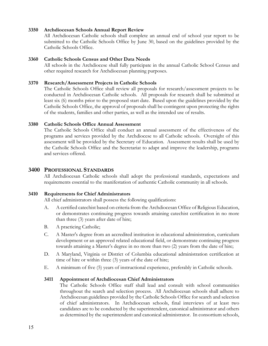## 3350 Archdiocesan Schools Annual Report Review

All Archdiocesan Catholic schools shall complete an annual end of school year report to be submitted to the Catholic Schools Office by June 30, based on the guidelines provided by the Catholic Schools Office.

#### 3360 Catholic Schools Census and Other Data Needs

All schools in the Archdiocese shall fully participate in the annual Catholic School Census and other required research for Archdiocesan planning purposes.

## 3370 Research/Assessment Projects in Catholic Schools

The Catholic Schools Office shall review all proposals for research/assessment projects to be conducted in Archdiocesan Catholic schools. All proposals for research shall be submitted at least six (6) months prior to the proposed start date. Based upon the guidelines provided by the Catholic Schools Office, the approval of proposals shall be contingent upon protecting the rights of the students, families and other parties, as well as the intended use of results.

## 3380 Catholic Schools Office Annual Assessment

The Catholic Schools Office shall conduct an annual assessment of the effectiveness of the programs and services provided by the Archdiocese to all Catholic schools. Oversight of this assessment will be provided by the Secretary of Education. Assessment results shall be used by the Catholic Schools Office and the Secretariat to adapt and improve the leadership, programs and services offered.

# 3400 PROFESSIONAL STANDARDS

All Archdiocesan Catholic schools shall adopt the professional standards, expectations and requirements essential to the manifestation of authentic Catholic community in all schools.

#### 3410 Requirements for Chief Administrators

All chief administrators shall possess the following qualifications:

- A. A certified catechist based on criteria from the Archdiocesan Office of Religious Education, or demonstrates continuing progress towards attaining catechist certification in no more than three (3) years after date of hire;
- B. A practicing Catholic;
- C. A Master's degree from an accredited institution in educational administration, curriculum development or an approved related educational field, or demonstrate continuing progress towards attaining a Master's degree in no more than two (2) years from the date of hire;
- D. A Maryland, Virginia or District of Columbia educational administration certification at time of hire or within three (3) years of the date of hire;
- E. A minimum of five (5) years of instructional experience, preferably in Catholic schools.

# 3411 Appointment of Archdiocesan Chief Administrators

The Catholic Schools Office staff shall lead and consult with school communities throughout the search and selection process. All Archdiocesan schools shall adhere to Archdiocesan guidelines provided by the Catholic Schools Office for search and selection of chief administrators. In Archdiocesan schools, final interviews of at least two candidates are to be conducted by the superintendent, canonical administrator and others as determined by the superintendent and canonical administrator. In consortium schools,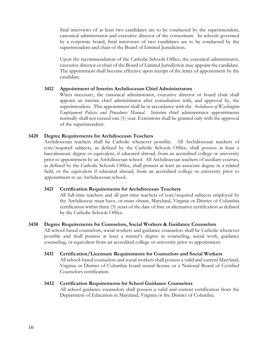final interviews of at least two candidates are to be conducted by the superintendent, canonical administrator and executive director of the consortium. In schools governed by a corporate board, final interviews of two candidates are to be conducted by the superintendent and chair of the Board of Limited Jurisdiction.

Upon the recommendation of the Catholic Schools Office, the canonical administrator, executive director or chair of the Board of Limited Jurisdiction may appoint the candidate. The appointment shall become effective upon receipt of the letter of appointment by the candidate.

# 3412 Appointment of Interim Archdiocesan Chief Administrators

When necessary, the canonical administrator, executive director or board chair shall appoint an interim chief administrator after consultation with, and approval by, the superintendent. This appointment shall be in accordance with the Archdiocese of Washington Employment Policies and Procedures Manual. Interim chief administrator appointments normally shall not exceed one (1) year. Extensions shall be granted only with the approval of the superintendent.

## 3420 Degree Requirements for Archdiocesan Teachers

Archdiocesan teachers shall be Catholic whenever possible. All Archdiocesan teachers of core/required subjects, as defined by the Catholic Schools Office, shall possess at least a baccalaureate degree or equivalent, if educated abroad, from an accredited college or university prior to appointment by an Archdiocesan school. All Archdiocesan teachers of auxiliary courses, as defined by the Catholic Schools Office, shall possess at least an associate degree in a related field, or the equivalent if educated abroad, from an accredited college or university prior to appointment to an Archdiocesan school.

#### 3421 Certification Requirements for Archdiocesan Teachers

All full-time teachers and all part-time teachers of core/required subjects employed by the Archdiocese must have, or must obtain, Maryland, Virginia or District of Columbia certification within three (3) years of the date of hire or alternative certification as defined by the Catholic Schools Office.

#### 3430 Degree Requirements for Counselors, Social Workers & Guidance Counselors

All school-based counselors, social workers and guidance counselors shall be Catholic whenever possible and shall possess at least a master's degree in counseling, social work, guidance counseling, or equivalent from an accredited college or university prior to appointment.

#### 3431 Certification/Licensure Requirements for Counselors and Social Workers

All school-based counselors and social workers shall possess a valid and current Maryland, Virginia or District of Columbia board issued license or a National Board of Certified Counselors certification.

#### 3432 Certification Requirements for School Guidance Counselors

All school guidance counselors shall possess a valid and current certification from the Department of Education in Maryland, Virginia or the District of Columbia.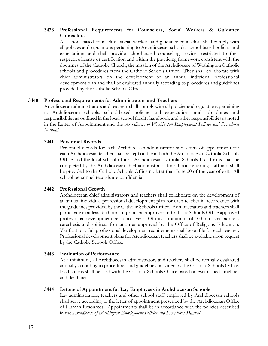# 3433 Professional Requirements for Counselors, Social Workers & Guidance Counselors

All school-based counselors, social workers and guidance counselors shall comply with all policies and regulations pertaining to Archdiocesan schools, school-based policies and expectations and shall provide school-based counseling services restricted to their respective license or certification and within the practicing framework consistent with the doctrines of the Catholic Church, the mission of the Archdiocese of Washington Catholic schools and procedures from the Catholic Schools Office. They shall collaborate with chief administrators on the development of an annual individual professional development plan and shall be evaluated annually according to procedures and guidelines provided by the Catholic Schools Office.

#### 3440 Professional Requirements for Administrators and Teachers

Archdiocesan administrators and teachers shall comply with all policies and regulations pertaining to Archdiocesan schools, school-based policies and expectations and job duties and responsibilities as outlined in the local school faculty handbook and other responsibilities as noted in the Letter of Appointment and the Archdiocese of Washington Employment Policies and Procedures Manual.

## 3441 Personnel Records

Personnel records for each Archdiocesan administrator and letters of appointment for each Archdiocesan teacher shall be kept on file in both the Archdiocesan Catholic Schools Office and the local school office. Archdiocesan Catholic Schools Exit forms shall be completed by the Archdiocesan chief administrator for all non-returning staff and shall be provided to the Catholic Schools Office no later than June 20 of the year of exit. All school personnel records are confidential.

# 3442 Professional Growth

Archdiocesan chief administrators and teachers shall collaborate on the development of an annual individual professional development plan for each teacher in accordance with the guidelines provided by the Catholic Schools Office. Administrators and teachers shall participate in at least 65 hours of principal-approved or Catholic Schools Office approved professional development per school year. Of this, a minimum of 10 hours shall address catechesis and spiritual formation as approved by the Office of Religious Education. Verification of all professional development requirements shall be on file for each teacher. Professional development plans for Archdiocesan teachers shall be available upon request by the Catholic Schools Office.

#### 3443 Evaluation of Performance

At a minimum, all Archdiocesan administrators and teachers shall be formally evaluated annually according to procedures and guidelines provided by the Catholic Schools Office. Evaluations shall be filed with the Catholic Schools Office based on established timelines and deadlines.

#### 3444 Letters of Appointment for Lay Employees in Archdiocesan Schools

Lay administrators, teachers and other school staff employed by Archdiocesan schools shall serve according to the letter of appointment prescribed by the Archdiocesan Office of Human Resources. Appointments shall be in accordance with the policies described in the Archdiocese of Washington Employment Policies and Procedures Manual.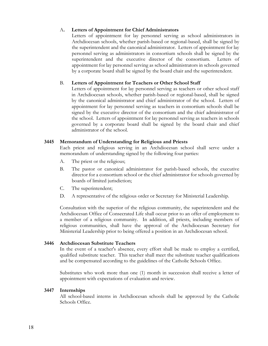# A. Letters of Appointment for Chief Administrators

Letters of appointment for lay personnel serving as school administrators in Archdiocesan schools, whether parish-based or regional-based, shall be signed by the superintendent and the canonical administrator. Letters of appointment for lay personnel serving as administrators in consortium schools shall be signed by the superintendent and the executive director of the consortium. Letters of appointment for lay personnel serving as school administrators in schools governed by a corporate board shall be signed by the board chair and the superintendent.

# B. Letters of Appointment for Teachers or Other School Staff

Letters of appointment for lay personnel serving as teachers or other school staff in Archdiocesan schools, whether parish-based or regional-based, shall be signed by the canonical administrator and chief administrator of the school. Letters of appointment for lay personnel serving as teachers in consortium schools shall be signed by the executive director of the consortium and the chief administrator of the school. Letters of appointment for lay personnel serving as teachers in schools governed by a corporate board shall be signed by the board chair and chief administrator of the school.

# 3445 Memorandum of Understanding for Religious and Priests

Each priest and religious serving in an Archdiocesan school shall serve under a memorandum of understanding signed by the following four parties:

- A. The priest or the religious;
- B. The pastor or canonical administrator for parish-based schools, the executive director for a consortium school or the chief administrator for schools governed by boards of limited jurisdiction;
- C. The superintendent;
- D. A representative of the religious order or Secretary for Ministerial Leadership.

Consultation with the superior of the religious community, the superintendent and the Archdiocesan Office of Consecrated Life shall occur prior to an offer of employment to a member of a religious community. In addition, all priests, including members of religious communities, shall have the approval of the Archdiocesan Secretary for Ministerial Leadership prior to being offered a position in an Archdiocesan school.

# 3446 Archdiocesan Substitute Teachers

In the event of a teacher's absence, every effort shall be made to employ a certified, qualified substitute teacher. This teacher shall meet the substitute teacher qualifications and be compensated according to the guidelines of the Catholic Schools Office.

Substitutes who work more than one (1) month in succession shall receive a letter of appointment with expectations of evaluation and review.

# 3447 Internships

All school-based interns in Archdiocesan schools shall be approved by the Catholic Schools Office.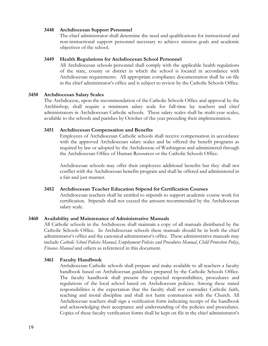#### 3448 Archdiocesan Support Personnel

The chief administrator shall determine the need and qualifications for instructional and non-instructional support personnel necessary to achieve mission goals and academic objectives of the school.

## 3449 Health Regulations for Archdiocesan School Personnel

All Archdiocesan schools personnel shall comply with the applicable health regulations of the state, county or district in which the school is located in accordance with Archdiocesan requirements. All appropriate compliance documentation shall be on file in the chief administrator's office and is subject to review by the Catholic Schools Office.

## 3450 Archdiocesan Salary Scales

The Archdiocese, upon the recommendation of the Catholic Schools Office and approval by the Archbishop, shall require a minimum salary scale for full-time lay teachers and chief administrators in Archdiocesan Catholic schools. These salary scales shall be multi-year scales, available to the schools and parishes by October of the year preceding their implementation.

## 3451 Archdiocesan Compensation and Benefits

Employees of Archdiocesan Catholic schools shall receive compensation in accordance with the approved Archdiocesan salary scales and be offered the benefit programs as required by law or adopted by the Archdiocese of Washington and administered through the Archdiocesan Office of Human Resources or the Catholic Schools Office.

Archdiocesan schools may offer their employees additional benefits but they shall not conflict with the Archdiocesan benefits program and shall be offered and administered in a fair and just manner.

# 3452 Archdiocesan Teacher Education Stipend for Certification Courses

Archdiocesan teachers shall be entitled to stipends to support academic course work for certification. Stipends shall not exceed the amount recommended by the Archdiocesan salary scale.

# 3460 Availability and Maintenance of Administrative Manuals

All Catholic schools in the Archdiocese shall maintain a copy of all manuals distributed by the Catholic Schools Office. In Archdiocesan schools these manuals should be in both the chief administrator's office and the canonical administrator's office. These administrative manuals may include Catholic School Policies Manual, Employment Policies and Procedures Manual, Child Protection Policy, Finance Manual and others as referenced in this document.

# 3461 Faculty Handbook

Archdiocesan Catholic schools shall prepare and make available to all teachers a faculty handbook based on Archdiocesan guidelines prepared by the Catholic Schools Office. The faculty handbook shall present the expected responsibilities, procedures and regulations of the local school based on Archdiocesan policies. Among these stated responsibilities is the expectation that the faculty shall not contradict Catholic faith, teaching and moral discipline and shall not harm communion with the Church. All Archdiocesan teachers shall sign a verification form indicating receipt of the handbook and acknowledging their acceptance and understanding of the policies and procedures. Copies of these faculty verification forms shall be kept on file in the chief administrator's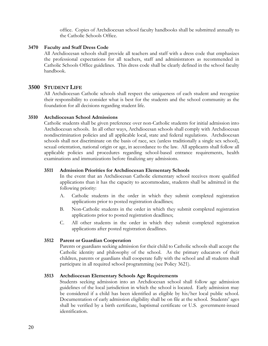office. Copies of Archdiocesan school faculty handbooks shall be submitted annually to the Catholic Schools Office.

#### 3470 Faculty and Staff Dress Code

All Archdiocesan schools shall provide all teachers and staff with a dress code that emphasizes the professional expectations for all teachers, staff and administrators as recommended in Catholic Schools Office guidelines. This dress code shall be clearly defined in the school faculty handbook.

## 3500 STUDENT LIFE

All Archdiocesan Catholic schools shall respect the uniqueness of each student and recognize their responsibility to consider what is best for the students and the school community as the foundation for all decisions regarding student life.

#### 3510 Archdiocesan School Admissions

Catholic students shall be given preference over non-Catholic students for initial admission into Archdiocesan schools. In all other ways, Archdiocesan schools shall comply with Archdiocesan nondiscrimination policies and all applicable local, state and federal regulations. Archdiocesan schools shall not discriminate on the basis of race, sex (unless traditionally a single sex school), sexual orientation, national origin or age, in accordance to the law. All applicants shall follow all applicable policies and procedures regarding school-based entrance requirements, health examinations and immunizations before finalizing any admissions.

#### 3511 Admission Priorities for Archdiocesan Elementary Schools

In the event that an Archdiocesan Catholic elementary school receives more qualified applications than it has the capacity to accommodate, students shall be admitted in the following priority:

- A. Catholic students in the order in which they submit completed registration applications prior to posted registration deadlines;
- B. Non-Catholic students in the order in which they submit completed registration applications prior to posted registration deadlines;
- C. All other students in the order in which they submit completed registration applications after posted registration deadlines.

#### 3512 Parent or Guardian Cooperation

Parents or guardians seeking admission for their child to Catholic schools shall accept the Catholic identity and philosophy of the school. As the primary educators of their children, parents or guardians shall cooperate fully with the school and all students shall participate in all required school programming (see Policy 3621).

#### 3513 Archdiocesan Elementary Schools Age Requirements

Students seeking admission into an Archdiocesan school shall follow age admission guidelines of the local jurisdiction in which the school is located. Early admission may be considered if a child has been identified as eligible by his/her local public school. Documentation of early admission eligibility shall be on file at the school. Students' ages shall be verified by a birth certificate, baptismal certificate or U.S. government-issued identification.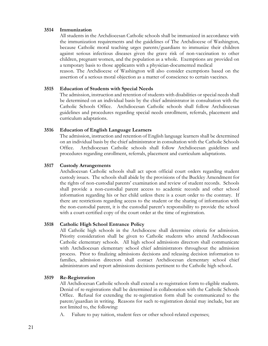## 3514 Immunization

All students in the Archdiocesan Catholic schools shall be immunized in accordance with the immunization requirements and the guidelines of The Archdiocese of Washington, because Catholic moral teaching urges parents/guardians to immunize their children against serious infectious diseases given the grave risk of non-vaccination to other children, pregnant women, and the population as a whole. Exemptions are provided on a temporary basis to those applicants with a physician-documented medical

reason. The Archdiocese of Washington will also consider exemptions based on the assertion of a serious moral objection as a matter of conscience to certain vaccines.

## 3515 Education of Students with Special Needs

The admission, instruction and retention of students with disabilities or special needs shall be determined on an individual basis by the chief administrator in consultation with the Catholic Schools Office. Archdiocesan Catholic schools shall follow Archdiocesan guidelines and procedures regarding special needs enrollment, referrals, placement and curriculum adaptations.

## 3516 Education of English Language Learners

The admission, instruction and retention of English language learners shall be determined on an individual basis by the chief administrator in consultation with the Catholic Schools Office. Archdiocesan Catholic schools shall follow Archdiocesan guidelines and procedures regarding enrollment, referrals, placement and curriculum adaptations.

## 3517 Custody Arrangements

Archdiocesan Catholic schools shall act upon official court orders regarding student custody issues. The schools shall abide by the provisions of the Buckley Amendment for the rights of non-custodial parents' examination and review of student records. Schools shall provide a non-custodial parent access to academic records and other school information regarding his or her child unless there is a court order to the contrary. If there are restrictions regarding access to the student or the sharing of information with the non-custodial parent, it is the custodial parent's responsibility to provide the school with a court-certified copy of the court order at the time of registration.

# 3518 Catholic High School Entrance Policy

All Catholic high schools in the Archdiocese shall determine criteria for admission. Priority consideration shall be given to Catholic students who attend Archdiocesan Catholic elementary schools. All high school admissions directors shall communicate with Archdiocesan elementary school chief administrators throughout the admission process. Prior to finalizing admissions decisions and releasing decision information to families, admission directors shall contact Archdiocesan elementary school chief administrators and report admissions decisions pertinent to the Catholic high school.

# 3519 Re-Registration

All Archdiocesan Catholic schools shall extend a re-registration form to eligible students. Denial of re-registrations shall be determined in collaboration with the Catholic Schools Office. Refusal for extending the re-registration form shall be communicated to the parent/guardian in writing. Reasons for such re-registration denial may include, but are not limited to, the following:

A. Failure to pay tuition, student fees or other school-related expenses;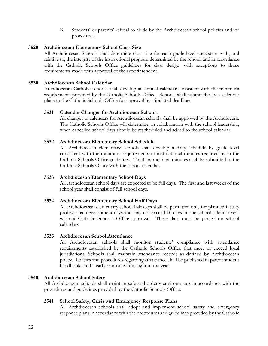B. Students' or parents' refusal to abide by the Archdiocesan school policies and/or procedures.

# 3520 Archdiocesan Elementary School Class Size

All Archdiocesan Schools shall determine class size for each grade level consistent with, and relative to, the integrity of the instructional program determined by the school, and in accordance with the Catholic Schools Office guidelines for class design, with exceptions to those requirements made with approval of the superintendent.

#### 3530 Archdiocesan School Calendar

Archdiocesan Catholic schools shall develop an annual calendar consistent with the minimum requirements provided by the Catholic Schools Office. Schools shall submit the local calendar plans to the Catholic Schools Office for approval by stipulated deadlines.

#### 3531 Calendar Changes for Archdiocesan Schools

All changes to calendars for Archdiocesan schools shall be approved by the Archdiocese. The Catholic Schools Office will determine, in collaboration with the school leadership, when cancelled school days should be rescheduled and added to the school calendar.

#### 3532 Archdiocesan Elementary School Schedule

All Archdiocesan elementary schools shall develop a daily schedule by grade level consistent with the minimum requirements of instructional minutes required by in the Catholic Schools Office guidelines. Total instructional minutes shall be submitted to the Catholic Schools Office with the school calendar.

#### 3533 Archdiocesan Elementary School Days

All Archdiocesan school days are expected to be full days. The first and last weeks of the school year shall consist of full school days.

#### 3534 Archdiocesan Elementary School Half Days

All Archdiocesan elementary school half days shall be permitted only for planned faculty professional development days and may not exceed 10 days in one school calendar year without Catholic Schools Office approval. These days must be posted on school calendars.

#### 3535 Archdiocesan School Attendance

All Archdiocesan schools shall monitor students' compliance with attendance requirements established by the Catholic Schools Office that meet or exceed local jurisdictions. Schools shall maintain attendance records as defined by Archdiocesan policy. Policies and procedures regarding attendance shall be published in parent student handbooks and clearly reinforced throughout the year.

#### 3540 Archdiocesan School Safety

All Archdiocesan schools shall maintain safe and orderly environments in accordance with the procedures and guidelines provided by the Catholic Schools Office.

#### 3541 School Safety, Crisis and Emergency Response Plans

All Archdiocesan schools shall adopt and implement school safety and emergency response plans in accordance with the procedures and guidelines provided by the Catholic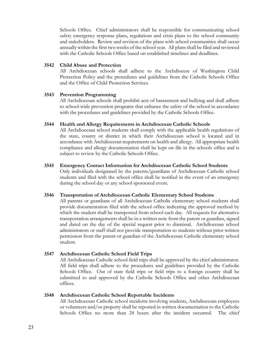Schools Office. Chief administrators shall be responsible for communicating school safety emergency response plans, regulations and crisis plans to the school community and stakeholders. Review and revision of the plans with school communities shall occur annually within the first two weeks of the school year. All plans shall be filed and reviewed with the Catholic Schools Office based on established timelines and deadlines.

## 3542 Child Abuse and Protection

All Archdiocesan schools shall adhere to the Archdiocese of Washington Child Protection Policy and the procedures and guidelines from the Catholic Schools Office and the Office of Child Protection Services.

# 3543 Prevention Programming

All Archdiocesan schools shall prohibit acts of harassment and bullying and shall adhere to school-wide prevention programs that enhance the safety of the school in accordance with the procedures and guidelines provided by the Catholic Schools Office.

## 3544 Health and Allergy Requirements in Archdiocesan Catholic Schools

All Archdiocesan school students shall comply with the applicable health regulations of the state, county or district in which their Archdiocesan school is located and in accordance with Archdiocesan requirements on health and allergy. All appropriate health compliance and allergy documentation shall be kept on file in the schools office and is subject to review by the Catholic Schools Office.

# 3545 Emergency Contact Information for Archdiocesan Catholic School Students

Only individuals designated by the parents/guardians of Archdiocesan Catholic school students and filed with the school office shall be notified in the event of an emergency during the school day or any school sponsored event.

# 3546 Transportation of Archdiocesan Catholic Elementary School Students

All parents or guardians of all Archdiocesan Catholic elementary school students shall provide documentation filed with the school office indicating the approved method by which the student shall be transported from school each day. All requests for alternative transportation arrangements shall be in a written note from the parent or guardian, signed and dated on the day of the special request prior to dismissal. Archdiocesan school administrators or staff shall not provide transportation to students without prior written permission from the parent or guardian of the Archdiocesan Catholic elementary school student.

# 3547 Archdiocesan Catholic School Field Trips

All Archdiocesan Catholic school field trips shall be approved by the chief administrator. All field trips shall adhere to the procedures and guidelines provided by the Catholic Schools Office. Out of state field trips or field trips to a foreign country shall be submitted to and approved by the Catholic Schools Office and other Archdiocesan offices.

# 3548 Archdiocesan Catholic School Reportable Incidents

All Archdiocesan Catholic school incidents involving students, Archdiocesan employees or volunteers and/or property shall be reported in written documentation to the Catholic Schools Office no more than 24 hours after the incident occurred. The chief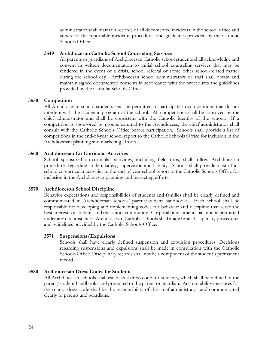administrator shall maintain records of all documented incidents in the school office and adhere to the reportable incidents procedures and guidelines provided by the Catholic Schools Office.

#### 3549 Archdiocesan Catholic School Counseling Services

All parents or guardians of Archdiocesan Catholic school students shall acknowledge and consent in written documentation to initial school counseling services that may be rendered in the event of a crisis, school referral or some other school-related matter during the school day. Archdiocesan school administrators or staff shall obtain and maintain signed documented consents in accordance with the procedures and guidelines provided by the Catholic Schools Office.

#### 3550 Competition

All Archdiocesan school students shall be permitted to participate in competitions that do not interfere with the academic program of the school. All competitions shall be approved by the chief administrator and shall be consistent with the Catholic identity of the school. If a competition is sponsored by groups external to the Archdiocese, the chief administrator shall consult with the Catholic Schools Office before participation. Schools shall provide a list of competitions in the end-of-year school report to the Catholic Schools Office for inclusion in the Archdiocesan planning and marketing efforts.

#### 3560 Archdiocesan Co-Curricular Activities

School sponsored co-curricular activities, including field trips, shall follow Archdiocesan procedures regarding student safety, supervision and liability. Schools shall provide a list of inschool co-curricular activities in the end-of-year school report to the Catholic Schools Office for inclusion in the Archdiocesan planning and marketing efforts.

#### 3570 Archdiocesan School Discipline

Behavior expectations and responsibilities of students and families shall be clearly defined and communicated in Archdiocesan schools' parent/student handbooks. Each school shall be responsible for developing and implementing codes for behavior and discipline that serve the best interests of students and the school community. Corporal punishment shall not be permitted under any circumstances. Archdiocesan Catholic schools shall abide by all disciplinary procedures and guidelines provided by the Catholic Schools Office.

#### 3571 Suspensions/Expulsions

Schools shall have clearly defined suspension and expulsion procedures. Decisions regarding suspensions and expulsions shall be made in consultation with the Catholic Schools Office. Disciplinary records shall not be a component of the student's permanent record.

#### 3580 Archdiocesan Dress Codes for Students

All Archdiocesan schools shall establish a dress code for students, which shall be defined in the parent/student handbooks and presented to the parent or guardian. Accountability measures for the school dress code shall be the responsibility of the chief administrator and communicated clearly to parents and guardians.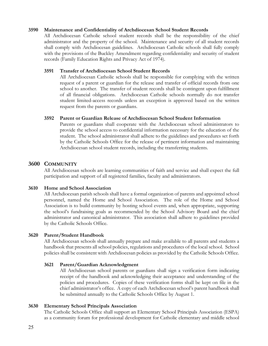## 3590 Maintenance and Confidentiality of Archdiocesan School Student Records

All Archdiocesan Catholic school student records shall be the responsibility of the chief administrator and the property of the school. Maintenance and security of all student records shall comply with Archdiocesan guidelines. Archdiocesan Catholic schools shall fully comply with the provisions of the Buckley Amendment regarding confidentiality and security of student records (Family Education Rights and Privacy Act of 1974).

## 3591 Transfer of Archdiocesan School Student Records

All Archdiocesan Catholic schools shall be responsible for complying with the written request of a parent or guardian for the release and transfer of official records from one school to another. The transfer of student records shall be contingent upon fulfillment of all financial obligations. Archdiocesan Catholic schools normally do not transfer student limited-access records unless an exception is approved based on the written request from the parents or guardians.

## 3592 Parent or Guardian Release of Archdiocesan School Student Information

Parents or guardians shall cooperate with the Archdiocesan school administrators to provide the school access to confidential information necessary for the education of the student. The school administrator shall adhere to the guidelines and procedures set forth by the Catholic Schools Office for the release of pertinent information and maintaining Archdiocesan school student records, including the transferring students.

# 3600 COMMUNITY

All Archdiocesan schools are learning communities of faith and service and shall expect the full participation and support of all registered families, faculty and administrators.

#### 3610 Home and School Association

All Archdiocesan parish schools shall have a formal organization of parents and appointed school personnel, named the Home and School Association. The role of the Home and School Association is to build community by hosting school events and, when appropriate, supporting the school's fundraising goals as recommended by the School Advisory Board and the chief administrator and canonical administrator. This association shall adhere to guidelines provided by the Catholic Schools Office.

# 3620 Parent/Student Handbook

All Archdiocesan schools shall annually prepare and make available to all parents and students a handbook that presents all school policies, regulations and procedures of the local school. School policies shall be consistent with Archdiocesan policies as provided by the Catholic Schools Office.

# 3621 Parent/Guardian Acknowledgment

All Archdiocesan school parents or guardians shall sign a verification form indicating receipt of the handbook and acknowledging their acceptance and understanding of the policies and procedures. Copies of these verification forms shall be kept on file in the chief administrator's office. A copy of each Archdiocesan school's parent handbook shall be submitted annually to the Catholic Schools Office by August 1.

# 3630 Elementary School Principals Association

The Catholic Schools Office shall support an Elementary School Principals Association (ESPA) as a community forum for professional development for Catholic elementary and middle school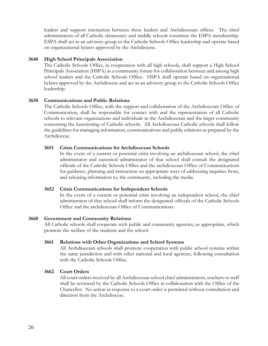leaders and support interaction between these leaders and Archdiocesan offices. The chief administrators of all Catholic elementary and middle schools constitute the ESPA membership. ESPA shall act as an advisory group to the Catholic Schools Office leadership and operate based on organizational bylaws approved by the Archdiocese.

## 3640 High School Principals Association

The Catholic Schools Office, in cooperation with all high schools, shall support a High School Principals Association (HSPA) as a community forum for collaboration between and among high school leaders and the Catholic Schools Office. HSPA shall operate based on organizational bylaws approved by the Archdiocese and act as an advisory group to the Catholic Schools Office leadership.

## 3650 Communications and Public Relations

The Catholic Schools Office, with the support and collaboration of the Archdiocesan Office of Communication, shall be responsible for contact with and the representation of all Catholic schools to relevant organizations and individuals in the Archdiocesan and the larger community concerning the functioning of Catholic schools. All Archdiocesan Catholic schools shall follow the guidelines for managing information, communications and public relations as prepared by the Archdiocese.

## 3651 Crisis Communications for Archdiocesan Schools

In the event of a current or potential crisis involving an archdiocesan school, the chief administrator and canonical administrator of that school shall consult the designated officials of the Catholic Schools Office and the archdiocesan Office of Communications for guidance, planning and instruction on appropriate ways of addressing inquiries from, and releasing information to, the community, including the media.

#### 3652 Crisis Communications for Independent Schools

In the event of a current or potential crisis involving an independent school, the chief administrator of that school shall inform the designated officials of the Catholic Schools Office and the archdiocesan Office of Communications.

#### 3660 Government and Community Relations

All Catholic schools shall cooperate with public and community agencies, as appropriate, which promote the welfare of the students and the school.

#### 3661 Relations with Other Organizations and School Systems

All Archdiocesan schools shall promote cooperation with public school systems within the same jurisdiction and with other national and local agencies, following consultation with the Catholic Schools Office.

#### 3662 Court Orders

All court orders received by all Archdiocesan school chief administrators, teachers or staff shall be reviewed by the Catholic Schools Office in collaboration with the Office of the Chancellor. No action in response to a court order is permitted without consultation and direction from the Archdiocese.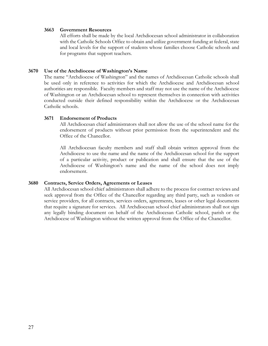## 3663 Government Resources

All efforts shall be made by the local Archdiocesan school administrator in collaboration with the Catholic Schools Office to obtain and utilize government funding at federal, state and local levels for the support of students whose families choose Catholic schools and for programs that support teachers.

## 3670 Use of the Archdiocese of Washington's Name

The name "Archdiocese of Washington" and the names of Archdiocesan Catholic schools shall be used only in reference to activities for which the Archdiocese and Archdiocesan school authorities are responsible. Faculty members and staff may not use the name of the Archdiocese of Washington or an Archdiocesan school to represent themselves in connection with activities conducted outside their defined responsibility within the Archdiocese or the Archdiocesan Catholic schools.

# 3671 Endorsement of Products

All Archdiocesan chief administrators shall not allow the use of the school name for the endorsement of products without prior permission from the superintendent and the Office of the Chancellor.

All Archdiocesan faculty members and staff shall obtain written approval from the Archdiocese to use the name and the name of the Archdiocesan school for the support of a particular activity, product or publication and shall ensure that the use of the Archdiocese of Washington's name and the name of the school does not imply endorsement.

# 3680 Contracts, Service Orders, Agreements or Leases

All Archdiocesan school chief administrators shall adhere to the process for contract reviews and seek approval from the Office of the Chancellor regarding any third party, such as vendors or service providers, for all contracts, services orders, agreements, leases or other legal documents that require a signature for services. All Archdiocesan school chief administrators shall not sign any legally binding document on behalf of the Archdiocesan Catholic school, parish or the Archdiocese of Washington without the written approval from the Office of the Chancellor.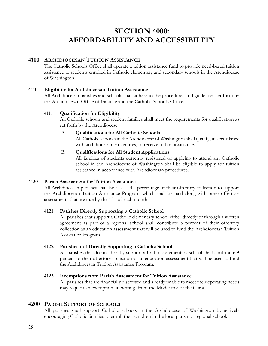# SECTION 4000: AFFORDABILITY AND ACCESSIBILITY

# 4100 ARCHDIOCESAN TUITION ASSISTANCE

The Catholic Schools Office shall operate a tuition assistance fund to provide need-based tuition assistance to students enrolled in Catholic elementary and secondary schools in the Archdiocese of Washington.

# 4110 Eligibility for Archdiocesan Tuition Assistance

All Archdiocesan parishes and schools shall adhere to the procedures and guidelines set forth by the Archdiocesan Office of Finance and the Catholic Schools Office.

# 4111 Qualification for Eligibility

All Catholic schools and student families shall meet the requirements for qualification as set forth by the Archdiocese.

# A. Qualifications for All Catholic Schools

All Catholic schools in the Archdiocese of Washington shall qualify, in accordance with archdiocesan procedures, to receive tuition assistance.

# B. Qualifications for All Student Applications

All families of students currently registered or applying to attend any Catholic school in the Archdiocese of Washington shall be eligible to apply for tuition assistance in accordance with Archdiocesan procedures.

# 4120 Parish Assessment for Tuition Assistance

All Archdiocesan parishes shall be assessed a percentage of their offertory collection to support the Archdiocesan Tuition Assistance Program, which shall be paid along with other offertory assessments that are due by the  $15<sup>th</sup>$  of each month.

# 4121 Parishes Directly Supporting a Catholic School

All parishes that support a Catholic elementary school either directly or through a written agreement as part of a regional school shall contribute 3 percent of their offertory collection as an education assessment that will be used to fund the Archdiocesan Tuition Assistance Program.

# 4122 Parishes not Directly Supporting a Catholic School

All parishes that do not directly support a Catholic elementary school shall contribute 9 percent of their offertory collection as an education assessment that will be used to fund the Archdiocesan Tuition Assistance Program.

# 4123 Exemptions from Parish Assessment for Tuition Assistance

All parishes that are financially distressed and already unable to meet their operating needs may request an exemption, in writing, from the Moderator of the Curia.

# 4200 PARISH SUPPORT OF SCHOOLS

All parishes shall support Catholic schools in the Archdiocese of Washington by actively encouraging Catholic families to enroll their children in the local parish or regional school.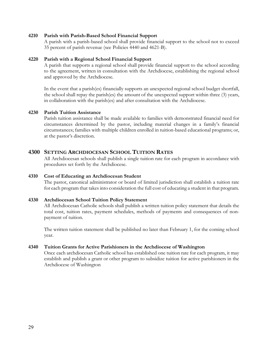#### 4210 Parish with Parish-Based School Financial Support

A parish with a parish-based school shall provide financial support to the school not to exceed 35 percent of parish revenue (see Policies 4440 and 4621-B).

#### 4220 Parish with a Regional School Financial Support

A parish that supports a regional school shall provide financial support to the school according to the agreement, written in consultation with the Archdiocese, establishing the regional school and approved by the Archdiocese.

In the event that a parish(es) financially supports an unexpected regional school budget shortfall, the school shall repay the parish(es) the amount of the unexpected support within three (3) years, in collaboration with the parish(es) and after consultation with the Archdiocese.

## 4230 Parish Tuition Assistance

Parish tuition assistance shall be made available to families with demonstrated financial need for circumstances determined by the pastor, including material changes in a family's financial circumstances; families with multiple children enrolled in tuition-based educational programs; or, at the pastor's discretion.

# 4300 SETTING ARCHDIOCESAN SCHOOL TUITION RATES

All Archdiocesan schools shall publish a single tuition rate for each program in accordance with procedures set forth by the Archdiocese.

# 4310 Cost of Educating an Archdiocesan Student

The pastor, canonical administrator or board of limited jurisdiction shall establish a tuition rate for each program that takes into consideration the full cost of educating a student in that program.

#### 4330 Archdiocesan School Tuition Policy Statement

All Archdiocesan Catholic schools shall publish a written tuition policy statement that details the total cost, tuition rates, payment schedules, methods of payments and consequences of nonpayment of tuition.

The written tuition statement shall be published no later than February 1, for the coming school year.

#### 4340 Tuition Grants for Active Parishioners in the Archdiocese of Washington

Once each archdiocesan Catholic school has established one tuition rate for each program, it may establish and publish a grant or other program to subsidize tuition for active parishioners in the Archdiocese of Washington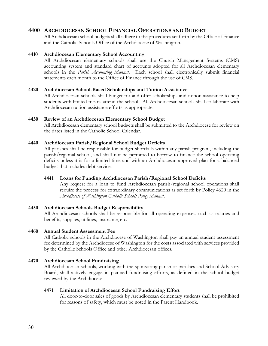# 4400 ARCHDIOCESAN SCHOOL FINANCIAL OPERATIONS AND BUDGET

All Archdiocesan school budgets shall adhere to the procedures set forth by the Office of Finance and the Catholic Schools Office of the Archdiocese of Washington.

## 4410 Archdiocesan Elementary School Accounting

All Archdiocesan elementary schools shall use the Church Management Systems (CMS) accounting system and standard chart of accounts adopted for all Archdiocesan elementary schools in the Parish Accounting Manual. Each school shall electronically submit financial statements each month to the Office of Finance through the use of CMS.

## 4420 Archdiocesan School-Based Scholarships and Tuition Assistance

All Archdiocesan schools shall budget for and offer scholarships and tuition assistance to help students with limited means attend the school. All Archdiocesan schools shall collaborate with Archdiocesan tuition assistance efforts as appropriate.

## 4430 Review of an Archdiocesan Elementary School Budget

All Archdiocesan elementary school budgets shall be submitted to the Archdiocese for review on the dates listed in the Catholic School Calendar.

## 4440 Archdiocesan Parish/Regional School Budget Deficits

All parishes shall be responsible for budget shortfalls within any parish program, including the parish/regional school, and shall not be permitted to borrow to finance the school operating deficits unless it is for a limited time and with an Archdiocesan-approved plan for a balanced budget that includes debt service.

# 4441 Loans for Funding Archdiocesan Parish/Regional School Deficits

Any request for a loan to fund Archdiocesan parish/regional school operations shall require the process for extraordinary communications as set forth by Policy 4620 in the Archdiocese of Washington Catholic Schools Policy Manual.

# 4450 Archdiocesan Schools Budget Responsibility

All Archdiocesan schools shall be responsible for all operating expenses, such as salaries and benefits, supplies, utilities, insurance, etc.

#### 4460 Annual Student Assessment Fee

All Catholic schools in the Archdiocese of Washington shall pay an annual student assessment fee determined by the Archdiocese of Washington for the costs associated with services provided by the Catholic Schools Office and other Archdiocesan offices.

#### 4470 Archdiocesan School Fundraising

All Archdiocesan schools, working with the sponsoring parish or parishes and School Advisory Board, shall actively engage in planned fundraising efforts, as defined in the school budget reviewed by the Archdiocese

#### 4471 Limitation of Archdiocesan School Fundraising Effort

All door-to-door sales of goods by Archdiocesan elementary students shall be prohibited for reasons of safety, which must be noted in the Parent Handbook.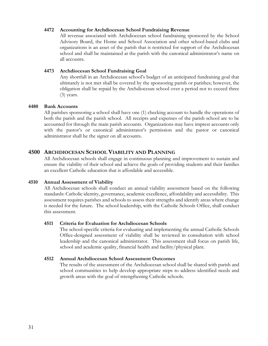## 4472 Accounting for Archdiocesan School Fundraising Revenue

All revenue associated with Archdiocesan school fundraising sponsored by the School Advisory Board, the Home and School Association and other school-based clubs and organizations is an asset of the parish that is restricted for support of the Archdiocesan school and shall be maintained at the parish with the canonical administrator's name on all accounts.

#### 4473 Archdiocesan School Fundraising Goal

Any shortfall in an Archdiocesan school's budget of an anticipated fundraising goal that ultimately is not met shall be covered by the sponsoring parish or parishes; however, the obligation shall be repaid by the Archdiocesan school over a period not to exceed three (3) years.

## 4480 Bank Accounts

All parishes sponsoring a school shall have one (1) checking account to handle the operations of both the parish and the parish school. All receipts and expenses of the parish school are to be accounted for through the main parish accounts. Organizations may have imprest accounts only with the pastor's or canonical administrator's permission and the pastor or canonical administrator shall be the signer on all accounts.

# 4500 ARCHDIOCESAN SCHOOL VIABILITY AND PLANNING

All Archdiocesan schools shall engage in continuous planning and improvement to sustain and ensure the viability of their school and achieve the goals of providing students and their families an excellent Catholic education that is affordable and accessible.

#### 4510 Annual Assessment of Viability

All Archdiocesan schools shall conduct an annual viability assessment based on the following standards: Catholic identity, governance, academic excellence, affordability and accessibility. This assessment requires parishes and schools to assess their strengths and identify areas where change is needed for the future. The school leadership, with the Catholic Schools Office, shall conduct this assessment.

#### 4511 Criteria for Evaluation for Archdiocesan Schools

The school-specific criteria for evaluating and implementing the annual Catholic Schools Office-designed assessment of viability shall be reviewed in consultation with school leadership and the canonical administrator. This assessment shall focus on parish life, school and academic quality, financial health and facility/physical plant.

#### 4512 Annual Archdiocesan School Assessment Outcomes

The results of the assessment of the Archdiocesan school shall be shared with parish and school communities to help develop appropriate steps to address identified needs and growth areas with the goal of strengthening Catholic schools.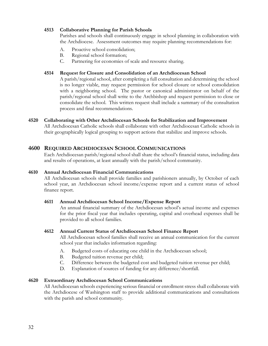# 4513 Collaborative Planning for Parish Schools

Parishes and schools shall continuously engage in school planning in collaboration with the Archdiocese. Assessment outcomes may require planning recommendations for:

- A. Proactive school consolidation;
- B. Regional school formation;
- C. Partnering for economies of scale and resource sharing.

## 4514 Request for Closure and Consolidation of an Archdiocesan School

A parish/regional school, after completing a full consultation and determining the school is no longer viable, may request permission for school closure or school consolidation with a neighboring school. The pastor or canonical administrator on behalf of the parish/regional school shall write to the Archbishop and request permission to close or consolidate the school. This written request shall include a summary of the consultation process and final recommendations.

# 4520 Collaborating with Other Archdiocesan Schools for Stabilization and Improvement

All Archdiocesan Catholic schools shall collaborate with other Archdiocesan Catholic schools in their geographically logical grouping to support actions that stabilize and improve schools.

# 4600 REQUIRED ARCHDIOCESAN SCHOOL COMMUNICATIONS

Each Archdiocesan parish/regional school shall share the school's financial status, including data and results of operations, at least annually with the parish/school community.

#### 4610 Annual Archdiocesan Financial Communications

All Archdiocesan schools shall provide families and parishioners annually, by October of each school year, an Archdiocesan school income/expense report and a current status of school finance report.

#### 4611 Annual Archdiocesan School Income/Expense Report

An annual financial summary of the Archdiocesan school's actual income and expenses for the prior fiscal year that includes operating, capital and overhead expenses shall be provided to all school families.

#### 4612 Annual Current Status of Archdiocesan School Finance Report

All Archdiocesan school families shall receive an annual communication for the current school year that includes information regarding:

- A. Budgeted costs of educating one child in the Archdiocesan school;
- B. Budgeted tuition revenue per child;
- C. Difference between the budgeted cost and budgeted tuition revenue per child;
- D. Explanation of sources of funding for any difference/shortfall.

# 4620 Extraordinary Archdiocesan School Communications

All Archdiocesan schools experiencing serious financial or enrollment stress shall collaborate with the Archdiocese of Washington staff to provide additional communications and consultations with the parish and school community.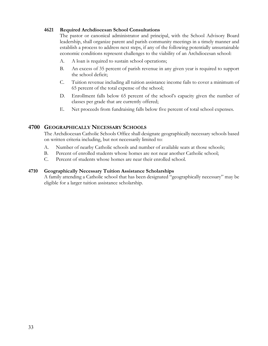# 4621 Required Archdiocesan School Consultations

The pastor or canonical administrator and principal, with the School Advisory Board leadership, shall organize parent and parish community meetings in a timely manner and establish a process to address next steps, if any of the following potentially unsustainable economic conditions represent challenges to the viability of an Archdiocesan school:

- A. A loan is required to sustain school operations;
- B. An excess of 35 percent of parish revenue in any given year is required to support the school deficit;
- C. Tuition revenue including all tuition assistance income fails to cover a minimum of 65 percent of the total expense of the school;
- D. Enrollment falls below 65 percent of the school's capacity given the number of classes per grade that are currently offered;
- E. Net proceeds from fundraising falls below five percent of total school expenses.

# 4700 GEOGRAPHICALLY NECESSARY SCHOOLS

The Archdiocesan Catholic Schools Office shall designate geographically necessary schools based on written criteria including, but not necessarily limited to:

- A. Number of nearby Catholic schools and number of available seats at those schools;
- B. Percent of enrolled students whose homes are not near another Catholic school;
- C. Percent of students whose homes are near their enrolled school.

## 4710 Geographically Necessary Tuition Assistance Scholarships

A family attending a Catholic school that has been designated "geographically necessary" may be eligible for a larger tuition assistance scholarship.